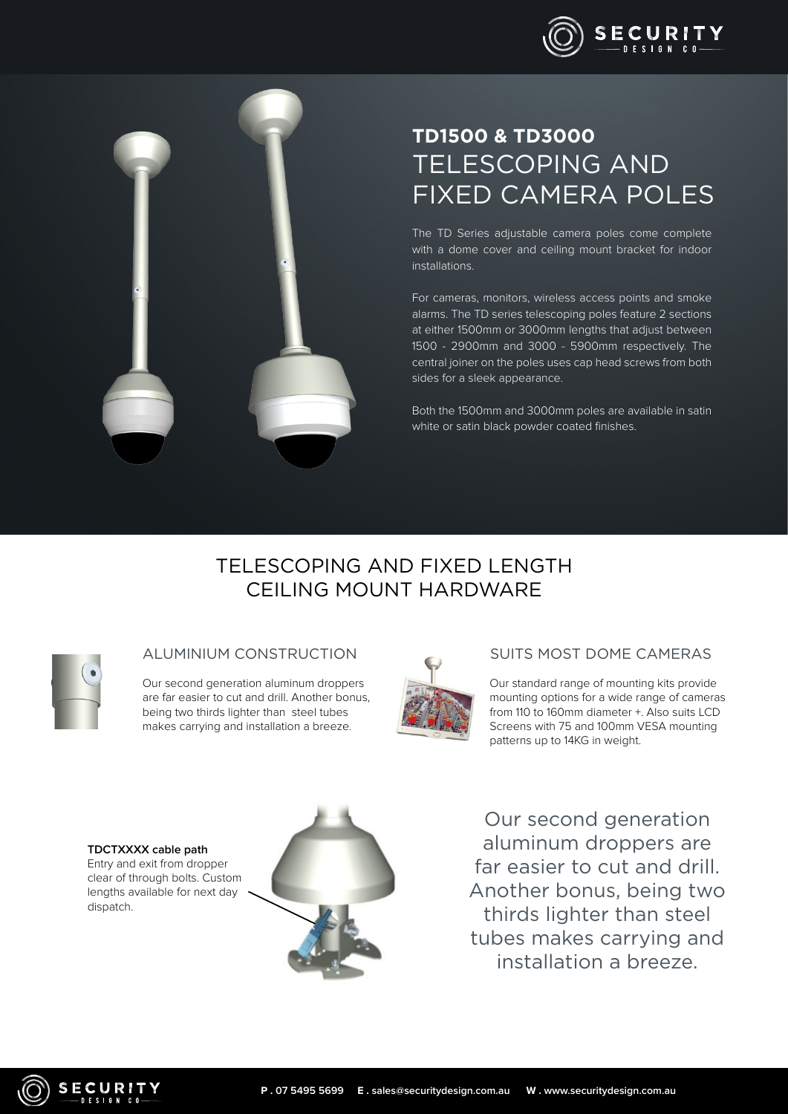

# **TD1500 & TD3000** TELESCOPING AND FIXED CAMERA POLES

The TD Series adjustable camera poles come complete with a dome cover and ceiling mount bracket for indoor installations.

For cameras, monitors, wireless access points and smoke alarms. The TD series telescoping poles feature 2 sections at either 1500mm or 3000mm lengths that adjust between 1500 - 2900mm and 3000 - 5900mm respectively. The central joiner on the poles uses cap head screws from both sides for a sleek appearance.

Both the 1500mm and 3000mm poles are available in satin white or satin black powder coated finishes.

# TELESCOPING AND FIXED LENGTH CEILING MOUNT HARDWARE

Our second generation aluminum droppers are far easier to cut and drill. Another bonus, being two thirds lighter than steel tubes makes carrying and installation a breeze.



### ALUMINIUM CONSTRUCTION SUITS MOST DOME CAMERAS

Our standard range of mounting kits provide mounting options for a wide range of cameras from 110 to 160mm diameter +. Also suits LCD Screens with 75 and 100mm VESA mounting patterns up to 14KG in weight.

**TDCTXXXX cable path**  Entry and exit from dropper clear of through bolts. Custom lengths available for next day dispatch.



Our second generation aluminum droppers are far easier to cut and drill. Another bonus, being two thirds lighter than steel tubes makes carrying and installation a breeze.

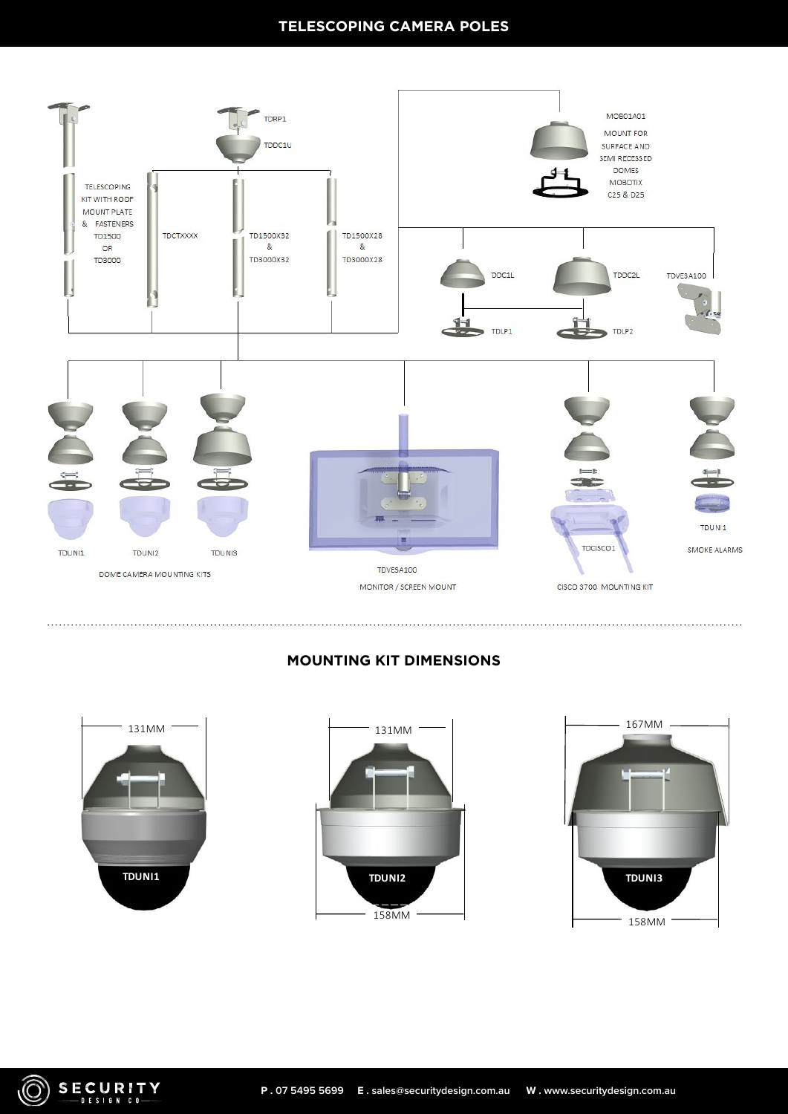## **TELESCOPING CAMERA POLES**



# **MOUNTING KIT DIMENSIONS**